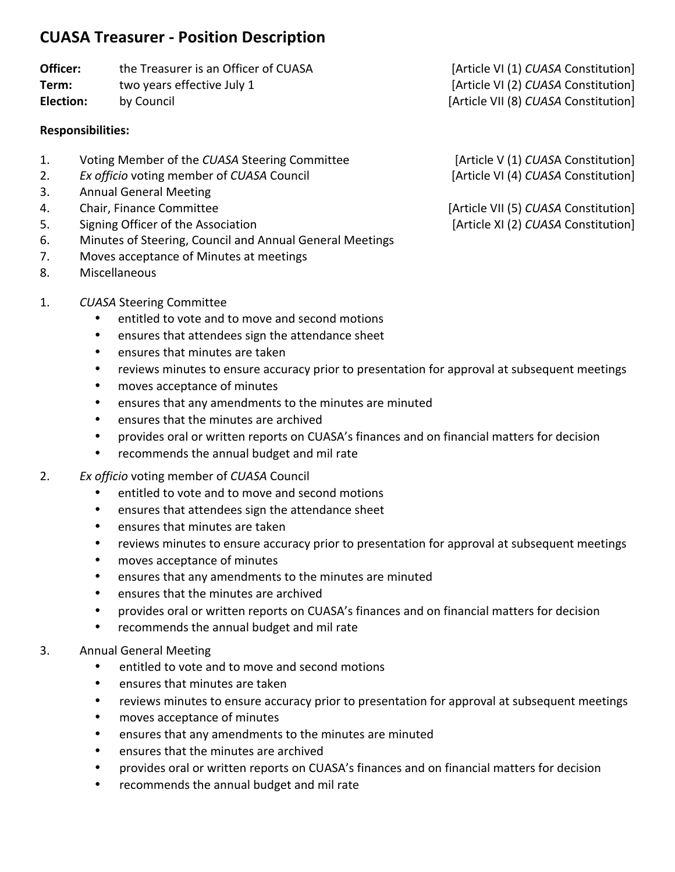## **CUASA Treasurer - Position Description**

# **Officer:** the Treasurer is an Officer of CUASA [Article VI (1) CUASA Constitution]

### **Responsibilities:**

- 1. Voting Member of the *CUASA* Steering Committee [Article V (1) *CUASA* Constitution]
- 2. *Ex officio* voting member of *CUASA* Council [Article VI (4) *CUASA* Constitution]
- 3. Annual General Meeting
- 
- 5. Signing Officer of the Association **Exercise 2018** [Article XI (2) CUASA Constitution]
- 6. Minutes of Steering, Council and Annual General Meetings
- 7. Moves acceptance of Minutes at meetings
- 8. Miscellaneous
- 1. **CUASA Steering Committee** 
	- entitled to vote and to move and second motions
	- ensures that attendees sign the attendance sheet
	- ensures that minutes are taken
	- reviews minutes to ensure accuracy prior to presentation for approval at subsequent meetings
	- moves acceptance of minutes
	- ensures that any amendments to the minutes are minuted
	- ensures that the minutes are archived
	- provides oral or written reports on CUASA's finances and on financial matters for decision
	- recommends the annual budget and mil rate
- 2. *Ex officio* voting member of *CUASA* Council
	- entitled to vote and to move and second motions
	- ensures that attendees sign the attendance sheet
	- ensures that minutes are taken
	- reviews minutes to ensure accuracy prior to presentation for approval at subsequent meetings
	- moves acceptance of minutes
	- ensures that any amendments to the minutes are minuted
	- ensures that the minutes are archived
	- provides oral or written reports on CUASA's finances and on financial matters for decision
	- recommends the annual budget and mil rate
- 3. Annual General Meeting
	- entitled to vote and to move and second motions
	- ensures that minutes are taken
	- reviews minutes to ensure accuracy prior to presentation for approval at subsequent meetings
	- moves acceptance of minutes
	- ensures that any amendments to the minutes are minuted
	- ensures that the minutes are archived
	- provides oral or written reports on CUASA's finances and on financial matters for decision
	- recommends the annual budget and mil rate

**Term:** two years effective July 1 [Article VI (2) CUASA Constitution] **Election:** by Council **by** Council **Election:** by Council **and Council and Council and Council Election** [Article VII (8) *CUASA* Constitution]

4. Chair, Finance Committee **and Communication** [Article VII (5) *CUASA* Constitution]